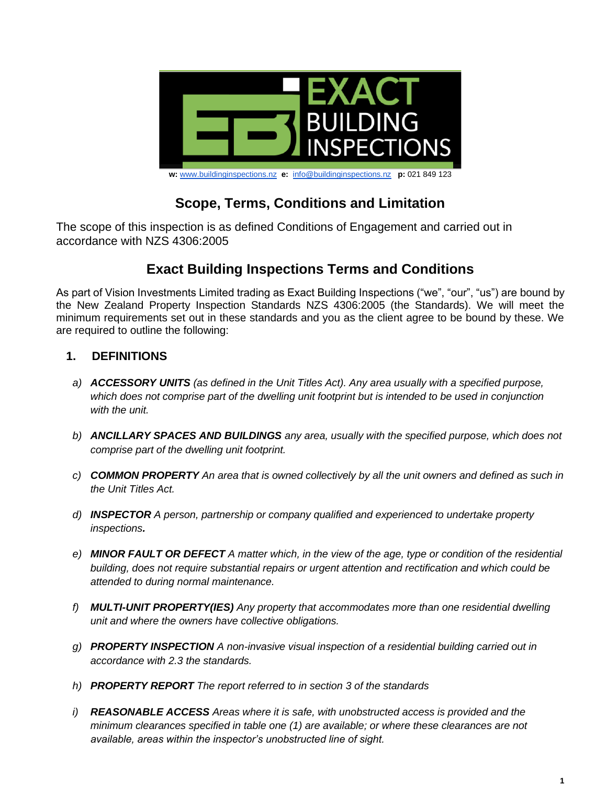

#### **w:** [www.buildinginspections.nz](http://www.buildinginspections.nz/) **e:** [info@buildinginspections.nz](mailto:info@buildinginspections.nz) **p:** 021 849 123

# **Scope, Terms, Conditions and Limitation**

The scope of this inspection is as defined Conditions of Engagement and carried out in accordance with NZS 4306:2005

# **Exact Building Inspections Terms and Conditions**

As part of Vision Investments Limited trading as Exact Building Inspections ("we", "our", "us") are bound by the New Zealand Property Inspection Standards NZS 4306:2005 (the Standards). We will meet the minimum requirements set out in these standards and you as the client agree to be bound by these. We are required to outline the following:

#### **1. DEFINITIONS**

- *a) ACCESSORY UNITS (as defined in the Unit Titles Act). Any area usually with a specified purpose, which does not comprise part of the dwelling unit footprint but is intended to be used in conjunction with the unit.*
- *b) ANCILLARY SPACES AND BUILDINGS any area, usually with the specified purpose, which does not comprise part of the dwelling unit footprint.*
- *c) COMMON PROPERTY An area that is owned collectively by all the unit owners and defined as such in the Unit Titles Act.*
- *d) INSPECTOR A person, partnership or company qualified and experienced to undertake property inspections.*
- *e) MINOR FAULT OR DEFECT A matter which, in the view of the age, type or condition of the residential building, does not require substantial repairs or urgent attention and rectification and which could be attended to during normal maintenance.*
- *f) MULTI-UNIT PROPERTY(IES) Any property that accommodates more than one residential dwelling unit and where the owners have collective obligations.*
- *g) PROPERTY INSPECTION A non-invasive visual inspection of a residential building carried out in accordance with 2.3 the standards.*
- *h) PROPERTY REPORT The report referred to in section 3 of the standards*
- *i) REASONABLE ACCESS Areas where it is safe, with unobstructed access is provided and the minimum clearances specified in table one (1) are available; or where these clearances are not available, areas within the inspector's unobstructed line of sight.*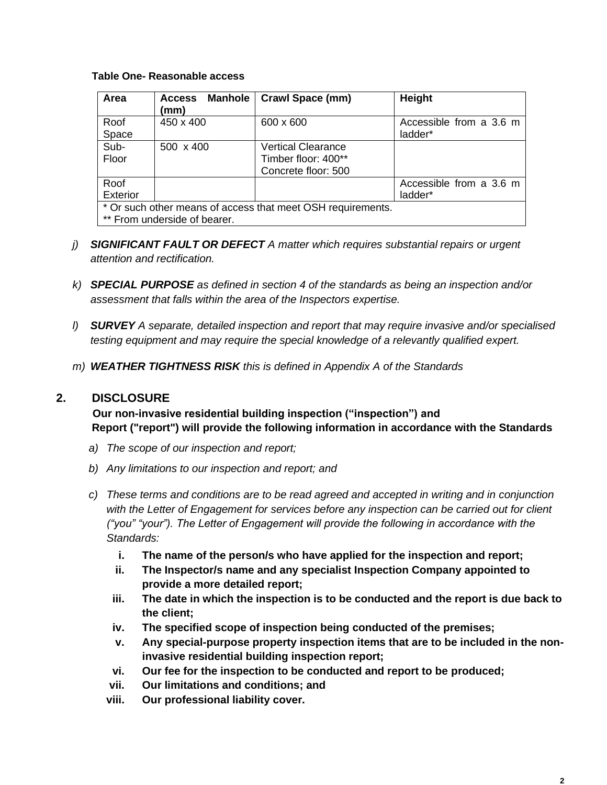#### **Table One- Reasonable access**

| Area                                                                                        | <b>Manhole</b><br><b>Access</b><br>(mm) | <b>Crawl Space (mm)</b>                                                 | Height                             |
|---------------------------------------------------------------------------------------------|-----------------------------------------|-------------------------------------------------------------------------|------------------------------------|
| Roof<br>Space                                                                               | 450 x 400                               | 600 x 600                                                               | Accessible from a 3.6 m<br>ladder* |
| Sub-<br>Floor                                                                               | 500 x 400                               | <b>Vertical Clearance</b><br>Timber floor: 400**<br>Concrete floor: 500 |                                    |
| Roof<br>Exterior                                                                            |                                         |                                                                         | Accessible from a 3.6 m<br>ladder* |
| * Or such other means of access that meet OSH requirements.<br>** From underside of bearer. |                                         |                                                                         |                                    |

- *j) SIGNIFICANT FAULT OR DEFECT A matter which requires substantial repairs or urgent attention and rectification.*
- *k) SPECIAL PURPOSE as defined in section 4 of the standards as being an inspection and/or assessment that falls within the area of the Inspectors expertise.*
- *l) SURVEY A separate, detailed inspection and report that may require invasive and/or specialised testing equipment and may require the special knowledge of a relevantly qualified expert.*
- *m) WEATHER TIGHTNESS RISK this is defined in Appendix A of the Standards*

#### **2. DISCLOSURE**

 **Our non-invasive residential building inspection ("inspection") and Report ("report") will provide the following information in accordance with the Standards**

- *a) The scope of our inspection and report;*
- *b) Any limitations to our inspection and report; and*
- *c) These terms and conditions are to be read agreed and accepted in writing and in conjunction with the Letter of Engagement for services before any inspection can be carried out for client ("you" "your"). The Letter of Engagement will provide the following in accordance with the Standards:*
	- **i. The name of the person/s who have applied for the inspection and report;**
	- **ii. The Inspector/s name and any specialist Inspection Company appointed to provide a more detailed report;**
	- **iii. The date in which the inspection is to be conducted and the report is due back to the client;**
	- **iv. The specified scope of inspection being conducted of the premises;**
	- **v. Any special-purpose property inspection items that are to be included in the noninvasive residential building inspection report;**
	- **vi. Our fee for the inspection to be conducted and report to be produced;**
	- **vii. Our limitations and conditions; and**
	- **viii. Our professional liability cover.**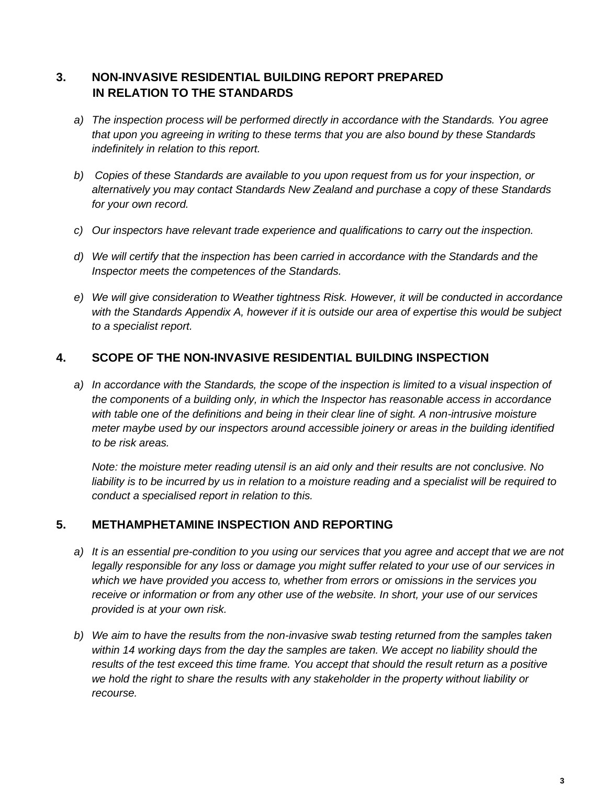# **3. NON-INVASIVE RESIDENTIAL BUILDING REPORT PREPARED IN RELATION TO THE STANDARDS**

- *a) The inspection process will be performed directly in accordance with the Standards. You agree that upon you agreeing in writing to these terms that you are also bound by these Standards indefinitely in relation to this report.*
- *b) Copies of these Standards are available to you upon request from us for your inspection, or alternatively you may contact Standards New Zealand and purchase a copy of these Standards for your own record.*
- *c) Our inspectors have relevant trade experience and qualifications to carry out the inspection.*
- *d) We will certify that the inspection has been carried in accordance with the Standards and the Inspector meets the competences of the Standards.*
- *e) We will give consideration to Weather tightness Risk. However, it will be conducted in accordance with the Standards Appendix A, however if it is outside our area of expertise this would be subject to a specialist report.*

### **4. SCOPE OF THE NON-INVASIVE RESIDENTIAL BUILDING INSPECTION**

*a) In accordance with the Standards, the scope of the inspection is limited to a visual inspection of the components of a building only, in which the Inspector has reasonable access in accordance*  with table one of the definitions and being in their clear line of sight. A non-intrusive moisture *meter maybe used by our inspectors around accessible joinery or areas in the building identified to be risk areas.*

*Note: the moisture meter reading utensil is an aid only and their results are not conclusive. No liability is to be incurred by us in relation to a moisture reading and a specialist will be required to conduct a specialised report in relation to this.*

### **5. METHAMPHETAMINE INSPECTION AND REPORTING**

- *a) It is an essential pre-condition to you using our services that you agree and accept that we are not legally responsible for any loss or damage you might suffer related to your use of our services in which we have provided you access to, whether from errors or omissions in the services you receive or information or from any other use of the website. In short, your use of our services provided is at your own risk.*
- *b) We aim to have the results from the non-invasive swab testing returned from the samples taken within 14 working days from the day the samples are taken. We accept no liability should the results of the test exceed this time frame. You accept that should the result return as a positive we hold the right to share the results with any stakeholder in the property without liability or recourse.*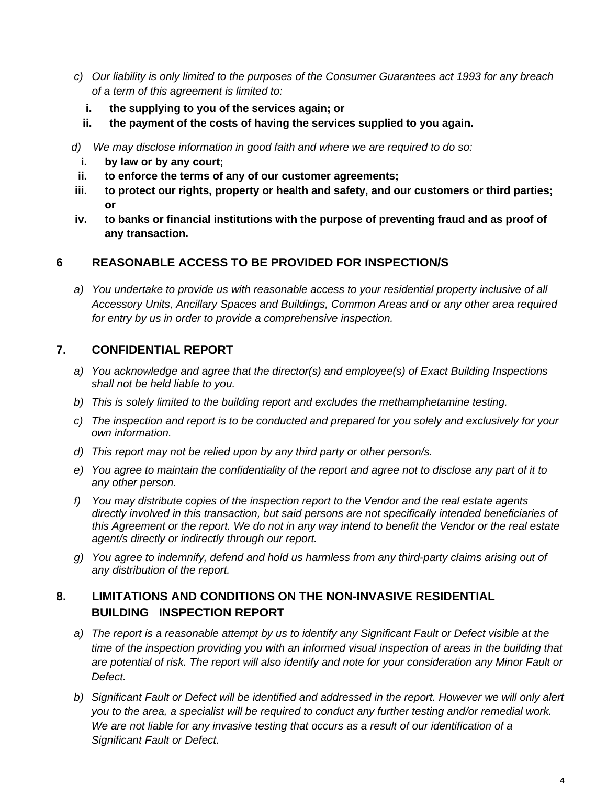- *c) Our liability is only limited to the purposes of the Consumer Guarantees act 1993 for any breach of a term of this agreement is limited to:*
	- **i. the supplying to you of the services again; or**
	- **ii. the payment of the costs of having the services supplied to you again.**
- *d) We may disclose information in good faith and where we are required to do so:*
	- **i. by law or by any court;**
- **ii. to enforce the terms of any of our customer agreements;**
- **iii. to protect our rights, property or health and safety, and our customers or third parties; or**
- **iv. to banks or financial institutions with the purpose of preventing fraud and as proof of any transaction.**

#### **6 REASONABLE ACCESS TO BE PROVIDED FOR INSPECTION/S**

*a) You undertake to provide us with reasonable access to your residential property inclusive of all Accessory Units, Ancillary Spaces and Buildings, Common Areas and or any other area required for entry by us in order to provide a comprehensive inspection.*

#### **7. CONFIDENTIAL REPORT**

- *a) You acknowledge and agree that the director(s) and employee(s) of Exact Building Inspections shall not be held liable to you.*
- *b) This is solely limited to the building report and excludes the methamphetamine testing.*
- *c) The inspection and report is to be conducted and prepared for you solely and exclusively for your own information.*
- *d) This report may not be relied upon by any third party or other person/s.*
- *e) You agree to maintain the confidentiality of the report and agree not to disclose any part of it to any other person.*
- *f) You may distribute copies of the inspection report to the Vendor and the real estate agents directly involved in this transaction, but said persons are not specifically intended beneficiaries of this Agreement or the report. We do not in any way intend to benefit the Vendor or the real estate agent/s directly or indirectly through our report.*
- *g) You agree to indemnify, defend and hold us harmless from any third-party claims arising out of any distribution of the report.*

# **8. LIMITATIONS AND CONDITIONS ON THE NON-INVASIVE RESIDENTIAL BUILDING INSPECTION REPORT**

- *a) The report is a reasonable attempt by us to identify any Significant Fault or Defect visible at the time of the inspection providing you with an informed visual inspection of areas in the building that are potential of risk. The report will also identify and note for your consideration any Minor Fault or Defect.*
- *b) Significant Fault or Defect will be identified and addressed in the report. However we will only alert you to the area, a specialist will be required to conduct any further testing and/or remedial work. We are not liable for any invasive testing that occurs as a result of our identification of a Significant Fault or Defect.*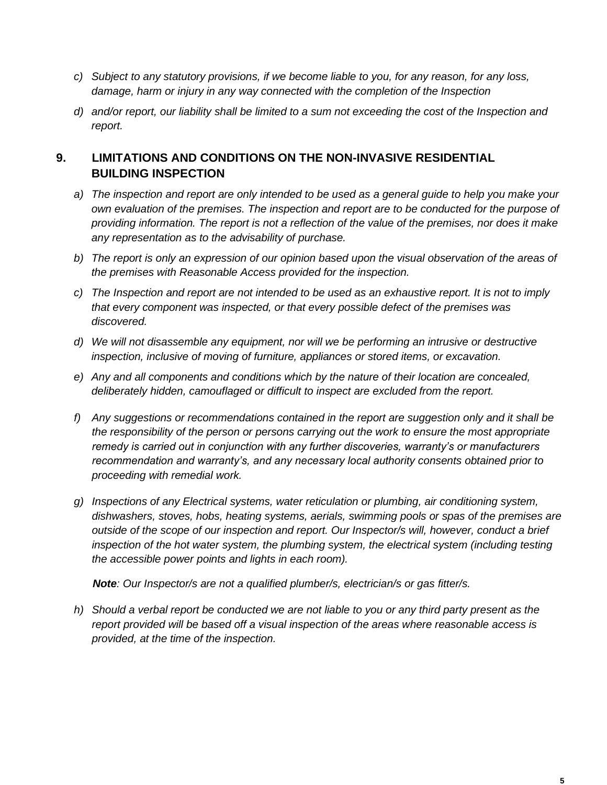- *c) Subject to any statutory provisions, if we become liable to you, for any reason, for any loss, damage, harm or injury in any way connected with the completion of the Inspection*
- *d) and/or report, our liability shall be limited to a sum not exceeding the cost of the Inspection and report.*

# **9. LIMITATIONS AND CONDITIONS ON THE NON-INVASIVE RESIDENTIAL BUILDING INSPECTION**

- *a) The inspection and report are only intended to be used as a general guide to help you make your own evaluation of the premises. The inspection and report are to be conducted for the purpose of providing information. The report is not a reflection of the value of the premises, nor does it make any representation as to the advisability of purchase.*
- *b) The report is only an expression of our opinion based upon the visual observation of the areas of the premises with Reasonable Access provided for the inspection.*
- *c) The Inspection and report are not intended to be used as an exhaustive report. It is not to imply that every component was inspected, or that every possible defect of the premises was discovered.*
- *d) We will not disassemble any equipment, nor will we be performing an intrusive or destructive inspection, inclusive of moving of furniture, appliances or stored items, or excavation.*
- *e) Any and all components and conditions which by the nature of their location are concealed, deliberately hidden, camouflaged or difficult to inspect are excluded from the report.*
- *f) Any suggestions or recommendations contained in the report are suggestion only and it shall be the responsibility of the person or persons carrying out the work to ensure the most appropriate remedy is carried out in conjunction with any further discoveries, warranty's or manufacturers recommendation and warranty's, and any necessary local authority consents obtained prior to proceeding with remedial work.*
- *g) Inspections of any Electrical systems, water reticulation or plumbing, air conditioning system, dishwashers, stoves, hobs, heating systems, aerials, swimming pools or spas of the premises are outside of the scope of our inspection and report. Our Inspector/s will, however, conduct a brief*  inspection of the hot water system, the plumbing system, the electrical system (including testing *the accessible power points and lights in each room).*

 *Note: Our Inspector/s are not a qualified plumber/s, electrician/s or gas fitter/s.* 

*h) Should a verbal report be conducted we are not liable to you or any third party present as the report provided will be based off a visual inspection of the areas where reasonable access is provided, at the time of the inspection.*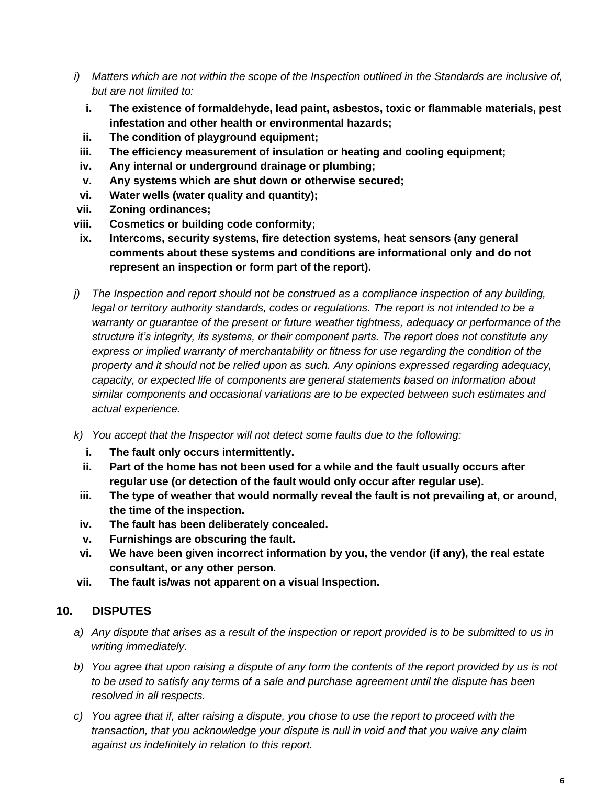- *i) Matters which are not within the scope of the Inspection outlined in the Standards are inclusive of, but are not limited to:*
	- **i. The existence of formaldehyde, lead paint, asbestos, toxic or flammable materials, pest infestation and other health or environmental hazards;**
	- **ii. The condition of playground equipment;**
- **iii. The efficiency measurement of insulation or heating and cooling equipment;**
- **iv. Any internal or underground drainage or plumbing;**
- **v. Any systems which are shut down or otherwise secured;**
- **vi. Water wells (water quality and quantity);**
- **vii. Zoning ordinances;**
- **viii. Cosmetics or building code conformity;**
- **ix. Intercoms, security systems, fire detection systems, heat sensors (any general comments about these systems and conditions are informational only and do not represent an inspection or form part of the report).**
- *j) The Inspection and report should not be construed as a compliance inspection of any building,*  legal or territory authority standards, codes or regulations. The report is not intended to be a *warranty or guarantee of the present or future weather tightness, adequacy or performance of the structure it's integrity, its systems, or their component parts. The report does not constitute any express or implied warranty of merchantability or fitness for use regarding the condition of the property and it should not be relied upon as such. Any opinions expressed regarding adequacy, capacity, or expected life of components are general statements based on information about similar components and occasional variations are to be expected between such estimates and actual experience.*
- *k) You accept that the Inspector will not detect some faults due to the following:*
	- **i. The fault only occurs intermittently.**
	- **ii. Part of the home has not been used for a while and the fault usually occurs after regular use (or detection of the fault would only occur after regular use).**
- **iii. The type of weather that would normally reveal the fault is not prevailing at, or around, the time of the inspection.**
- **iv. The fault has been deliberately concealed.**
- **v. Furnishings are obscuring the fault.**
- **vi. We have been given incorrect information by you, the vendor (if any), the real estate consultant, or any other person.**
- **vii. The fault is/was not apparent on a visual Inspection.**

### **10. DISPUTES**

- *a) Any dispute that arises as a result of the inspection or report provided is to be submitted to us in writing immediately.*
- *b) You agree that upon raising a dispute of any form the contents of the report provided by us is not to be used to satisfy any terms of a sale and purchase agreement until the dispute has been resolved in all respects.*
- *c) You agree that if, after raising a dispute, you chose to use the report to proceed with the transaction, that you acknowledge your dispute is null in void and that you waive any claim against us indefinitely in relation to this report.*